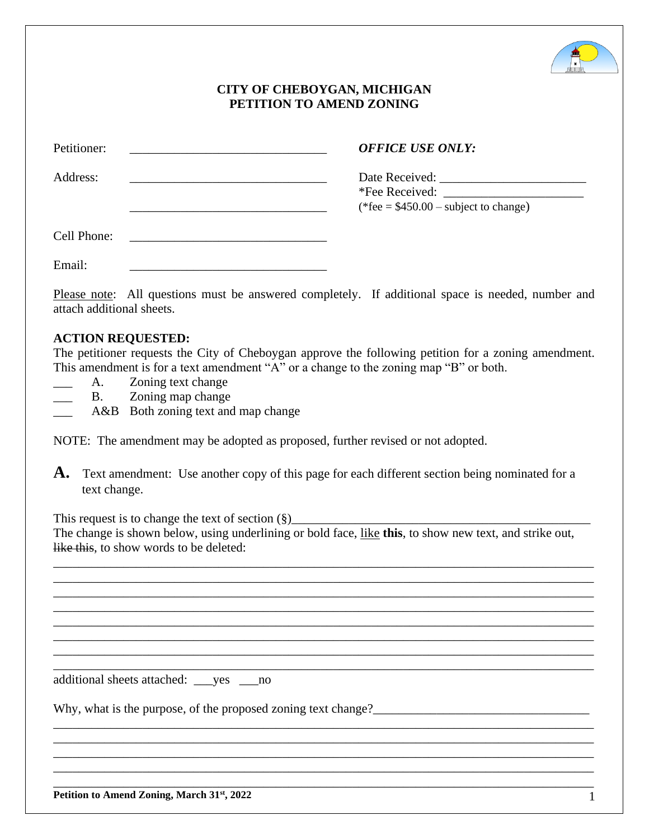

## **CITY OF CHEBOYGAN, MICHIGAN PETITION TO AMEND ZONING**

| Petitioner: | <b>OFFICE USE ONLY:</b>                |
|-------------|----------------------------------------|
| Address:    | (*fee = $$450.00$ – subject to change) |
| Cell Phone: |                                        |
| Email:      |                                        |

Please note: All questions must be answered completely. If additional space is needed, number and attach additional sheets.

## **ACTION REQUESTED:**

The petitioner requests the City of Cheboygan approve the following petition for a zoning amendment. This amendment is for a text amendment "A" or a change to the zoning map "B" or both.

A. Zoning text change

B. Zoning map change

A&B Both zoning text and map change

NOTE: The amendment may be adopted as proposed, further revised or not adopted.

A. Text amendment: Use another copy of this page for each different section being nominated for a text change.

This request is to change the text of section  $(\S)$ The change is shown below, using underlining or bold face, like **this**, to show new text, and strike out, like this, to show words to be deleted:

\_\_\_\_\_\_\_\_\_\_\_\_\_\_\_\_\_\_\_\_\_\_\_\_\_\_\_\_\_\_\_\_\_\_\_\_\_\_\_\_\_\_\_\_\_\_\_\_\_\_\_\_\_\_\_\_\_\_\_\_\_\_\_\_\_\_\_\_\_\_\_\_\_\_\_\_\_\_\_\_\_\_\_\_\_ \_\_\_\_\_\_\_\_\_\_\_\_\_\_\_\_\_\_\_\_\_\_\_\_\_\_\_\_\_\_\_\_\_\_\_\_\_\_\_\_\_\_\_\_\_\_\_\_\_\_\_\_\_\_\_\_\_\_\_\_\_\_\_\_\_\_\_\_\_\_\_\_\_\_\_\_\_\_\_\_\_\_\_\_\_ \_\_\_\_\_\_\_\_\_\_\_\_\_\_\_\_\_\_\_\_\_\_\_\_\_\_\_\_\_\_\_\_\_\_\_\_\_\_\_\_\_\_\_\_\_\_\_\_\_\_\_\_\_\_\_\_\_\_\_\_\_\_\_\_\_\_\_\_\_\_\_\_\_\_\_\_\_\_\_\_\_\_\_\_\_ \_\_\_\_\_\_\_\_\_\_\_\_\_\_\_\_\_\_\_\_\_\_\_\_\_\_\_\_\_\_\_\_\_\_\_\_\_\_\_\_\_\_\_\_\_\_\_\_\_\_\_\_\_\_\_\_\_\_\_\_\_\_\_\_\_\_\_\_\_\_\_\_\_\_\_\_\_\_\_\_\_\_\_\_\_ \_\_\_\_\_\_\_\_\_\_\_\_\_\_\_\_\_\_\_\_\_\_\_\_\_\_\_\_\_\_\_\_\_\_\_\_\_\_\_\_\_\_\_\_\_\_\_\_\_\_\_\_\_\_\_\_\_\_\_\_\_\_\_\_\_\_\_\_\_\_\_\_\_\_\_\_\_\_\_\_\_\_\_\_\_ \_\_\_\_\_\_\_\_\_\_\_\_\_\_\_\_\_\_\_\_\_\_\_\_\_\_\_\_\_\_\_\_\_\_\_\_\_\_\_\_\_\_\_\_\_\_\_\_\_\_\_\_\_\_\_\_\_\_\_\_\_\_\_\_\_\_\_\_\_\_\_\_\_\_\_\_\_\_\_\_\_\_\_\_\_ \_\_\_\_\_\_\_\_\_\_\_\_\_\_\_\_\_\_\_\_\_\_\_\_\_\_\_\_\_\_\_\_\_\_\_\_\_\_\_\_\_\_\_\_\_\_\_\_\_\_\_\_\_\_\_\_\_\_\_\_\_\_\_\_\_\_\_\_\_\_\_\_\_\_\_\_\_\_\_\_\_\_\_\_\_ \_\_\_\_\_\_\_\_\_\_\_\_\_\_\_\_\_\_\_\_\_\_\_\_\_\_\_\_\_\_\_\_\_\_\_\_\_\_\_\_\_\_\_\_\_\_\_\_\_\_\_\_\_\_\_\_\_\_\_\_\_\_\_\_\_\_\_\_\_\_\_\_\_\_\_\_\_\_\_\_\_\_\_\_\_

\_\_\_\_\_\_\_\_\_\_\_\_\_\_\_\_\_\_\_\_\_\_\_\_\_\_\_\_\_\_\_\_\_\_\_\_\_\_\_\_\_\_\_\_\_\_\_\_\_\_\_\_\_\_\_\_\_\_\_\_\_\_\_\_\_\_\_\_\_\_\_\_\_\_\_\_\_\_\_\_\_\_\_\_\_ \_\_\_\_\_\_\_\_\_\_\_\_\_\_\_\_\_\_\_\_\_\_\_\_\_\_\_\_\_\_\_\_\_\_\_\_\_\_\_\_\_\_\_\_\_\_\_\_\_\_\_\_\_\_\_\_\_\_\_\_\_\_\_\_\_\_\_\_\_\_\_\_\_\_\_\_\_\_\_\_\_\_\_\_\_ \_\_\_\_\_\_\_\_\_\_\_\_\_\_\_\_\_\_\_\_\_\_\_\_\_\_\_\_\_\_\_\_\_\_\_\_\_\_\_\_\_\_\_\_\_\_\_\_\_\_\_\_\_\_\_\_\_\_\_\_\_\_\_\_\_\_\_\_\_\_\_\_\_\_\_\_\_\_\_\_\_\_\_\_\_ \_\_\_\_\_\_\_\_\_\_\_\_\_\_\_\_\_\_\_\_\_\_\_\_\_\_\_\_\_\_\_\_\_\_\_\_\_\_\_\_\_\_\_\_\_\_\_\_\_\_\_\_\_\_\_\_\_\_\_\_\_\_\_\_\_\_\_\_\_\_\_\_\_\_\_\_\_\_\_\_\_\_\_\_\_ \_\_\_\_\_\_\_\_\_\_\_\_\_\_\_\_\_\_\_\_\_\_\_\_\_\_\_\_\_\_\_\_\_\_\_\_\_\_\_\_\_\_\_\_\_\_\_\_\_\_\_\_\_\_\_\_\_\_\_\_\_\_\_\_\_\_\_\_\_\_\_\_\_\_\_\_\_\_\_\_\_\_\_\_\_

additional sheets attached: \_\_\_yes \_\_\_no

Why, what is the purpose, of the proposed zoning text change?\_\_\_\_\_\_\_\_\_\_\_\_\_\_\_\_\_\_\_\_\_\_\_\_\_\_\_\_\_\_\_\_\_\_

**Petition to Amend Zoning, March 31st, 2022** 1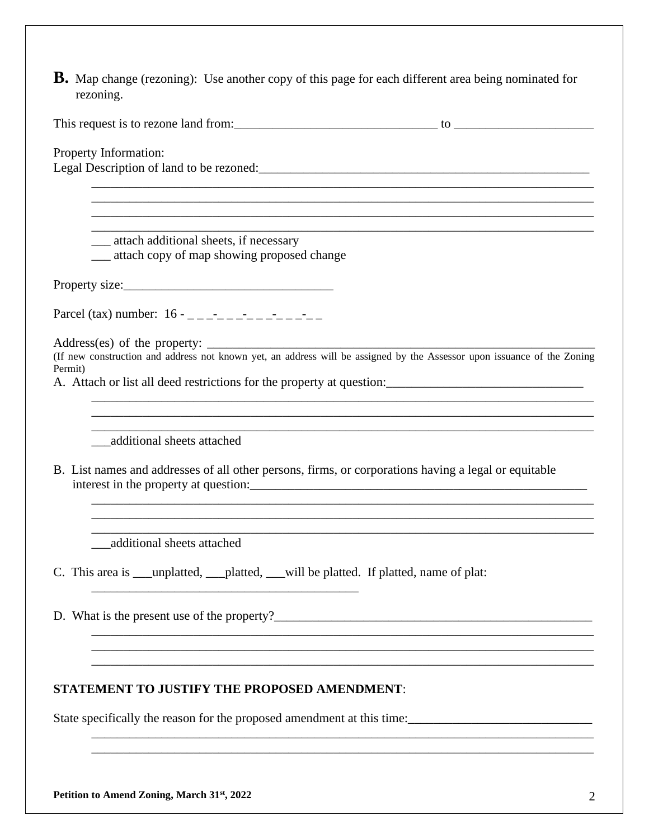**B.** Map change (rezoning): Use another copy of this page for each different area being nominated for rezoning.

| This request is to rezone land from: |  |
|--------------------------------------|--|
|                                      |  |

\_\_\_\_\_\_\_\_\_\_\_\_\_\_\_\_\_\_\_\_\_\_\_\_\_\_\_\_\_\_\_\_\_\_\_\_\_\_\_\_\_\_\_\_\_\_\_\_\_\_\_\_\_\_\_\_\_\_\_\_\_\_\_\_\_\_\_\_\_\_\_\_\_\_\_\_\_\_\_ \_\_\_\_\_\_\_\_\_\_\_\_\_\_\_\_\_\_\_\_\_\_\_\_\_\_\_\_\_\_\_\_\_\_\_\_\_\_\_\_\_\_\_\_\_\_\_\_\_\_\_\_\_\_\_\_\_\_\_\_\_\_\_\_\_\_\_\_\_\_\_\_\_\_\_\_\_\_\_ \_\_\_\_\_\_\_\_\_\_\_\_\_\_\_\_\_\_\_\_\_\_\_\_\_\_\_\_\_\_\_\_\_\_\_\_\_\_\_\_\_\_\_\_\_\_\_\_\_\_\_\_\_\_\_\_\_\_\_\_\_\_\_\_\_\_\_\_\_\_\_\_\_\_\_\_\_\_\_ \_\_\_\_\_\_\_\_\_\_\_\_\_\_\_\_\_\_\_\_\_\_\_\_\_\_\_\_\_\_\_\_\_\_\_\_\_\_\_\_\_\_\_\_\_\_\_\_\_\_\_\_\_\_\_\_\_\_\_\_\_\_\_\_\_\_\_\_\_\_\_\_\_\_\_\_\_\_\_

Property Information: Legal Description of land to be rezoned:\_\_\_\_\_\_\_\_\_\_\_\_\_\_\_\_\_\_\_\_\_\_\_\_\_\_\_\_\_\_\_\_\_\_\_\_\_\_\_\_\_\_\_\_\_\_\_\_\_\_\_\_

\_\_\_ attach additional sheets, if necessary

\_\_\_ attach copy of map showing proposed change

Property size:

Parcel (tax) number:  $16 - 2 - 2 - 2 - 2 - 2 - 2 - 2 - 2$ 

Address(es) of the property:  $\frac{1}{\sqrt{1-\frac{1}{2}}\sqrt{1-\frac{1}{2}}\sqrt{1-\frac{1}{2}}\sqrt{1-\frac{1}{2}}\sqrt{1-\frac{1}{2}}$ 

(If new construction and address not known yet, an address will be assigned by the Assessor upon issuance of the Zoning Permit)

\_\_\_\_\_\_\_\_\_\_\_\_\_\_\_\_\_\_\_\_\_\_\_\_\_\_\_\_\_\_\_\_\_\_\_\_\_\_\_\_\_\_\_\_\_\_\_\_\_\_\_\_\_\_\_\_\_\_\_\_\_\_\_\_\_\_\_\_\_\_\_\_\_\_\_\_\_\_\_

\_\_\_\_\_\_\_\_\_\_\_\_\_\_\_\_\_\_\_\_\_\_\_\_\_\_\_\_\_\_\_\_\_\_\_\_\_\_\_\_\_\_\_\_\_\_\_\_\_\_\_\_\_\_\_\_\_\_\_\_\_\_\_\_\_\_\_\_\_\_\_\_\_\_\_\_\_\_\_

\_\_\_\_\_\_\_\_\_\_\_\_\_\_\_\_\_\_\_\_\_\_\_\_\_\_\_\_\_\_\_\_\_\_\_\_\_\_\_\_\_\_\_\_\_\_\_\_\_\_\_\_\_\_\_\_\_\_\_\_\_\_\_\_\_\_\_\_\_\_\_\_\_\_\_\_\_\_\_ \_\_\_\_\_\_\_\_\_\_\_\_\_\_\_\_\_\_\_\_\_\_\_\_\_\_\_\_\_\_\_\_\_\_\_\_\_\_\_\_\_\_\_\_\_\_\_\_\_\_\_\_\_\_\_\_\_\_\_\_\_\_\_\_\_\_\_\_\_\_\_\_\_\_\_\_\_\_\_ \_\_\_\_\_\_\_\_\_\_\_\_\_\_\_\_\_\_\_\_\_\_\_\_\_\_\_\_\_\_\_\_\_\_\_\_\_\_\_\_\_\_\_\_\_\_\_\_\_\_\_\_\_\_\_\_\_\_\_\_\_\_\_\_\_\_\_\_\_\_\_\_\_\_\_\_\_\_\_

\_\_\_\_\_\_\_\_\_\_\_\_\_\_\_\_\_\_\_\_\_\_\_\_\_\_\_\_\_\_\_\_\_\_\_\_\_\_\_\_\_\_\_\_\_\_\_\_\_\_\_\_\_\_\_\_\_\_\_\_\_\_\_\_\_\_\_\_\_\_\_\_\_\_\_\_\_\_\_

\_\_\_\_\_\_\_\_\_\_\_\_\_\_\_\_\_\_\_\_\_\_\_\_\_\_\_\_\_\_\_\_\_\_\_\_\_\_\_\_\_\_\_\_\_\_\_\_\_\_\_\_\_\_\_\_\_\_\_\_\_\_\_\_\_\_\_\_\_\_\_\_\_\_\_\_\_\_\_ \_\_\_\_\_\_\_\_\_\_\_\_\_\_\_\_\_\_\_\_\_\_\_\_\_\_\_\_\_\_\_\_\_\_\_\_\_\_\_\_\_\_\_\_\_\_\_\_\_\_\_\_\_\_\_\_\_\_\_\_\_\_\_\_\_\_\_\_\_\_\_\_\_\_\_\_\_\_\_

\_\_\_\_\_\_\_\_\_\_\_\_\_\_\_\_\_\_\_\_\_\_\_\_\_\_\_\_\_\_\_\_\_\_\_\_\_\_\_\_\_\_\_\_\_\_\_\_\_\_\_\_\_\_\_\_\_\_\_\_\_\_\_\_\_\_\_\_\_\_\_\_\_\_\_\_\_\_\_ \_\_\_\_\_\_\_\_\_\_\_\_\_\_\_\_\_\_\_\_\_\_\_\_\_\_\_\_\_\_\_\_\_\_\_\_\_\_\_\_\_\_\_\_\_\_\_\_\_\_\_\_\_\_\_\_\_\_\_\_\_\_\_\_\_\_\_\_\_\_\_\_\_\_\_\_\_\_\_

A. Attach or list all deed restrictions for the property at question:

\_\_\_additional sheets attached

B. List names and addresses of all other persons, firms, or corporations having a legal or equitable interest in the property at question:

\_\_\_additional sheets attached

C. This area is a unplatted, platted, will be platted. If platted, name of plat:

D. What is the present use of the property?\_\_\_\_\_\_\_\_\_\_\_\_\_\_\_\_\_\_\_\_\_\_\_\_\_\_\_\_\_\_\_\_\_\_\_\_\_\_\_\_\_\_\_\_\_\_\_\_\_\_

## **STATEMENT TO JUSTIFY THE PROPOSED AMENDMENT**:

\_\_\_\_\_\_\_\_\_\_\_\_\_\_\_\_\_\_\_\_\_\_\_\_\_\_\_\_\_\_\_\_\_\_\_\_\_\_\_\_\_\_

State specifically the reason for the proposed amendment at this time: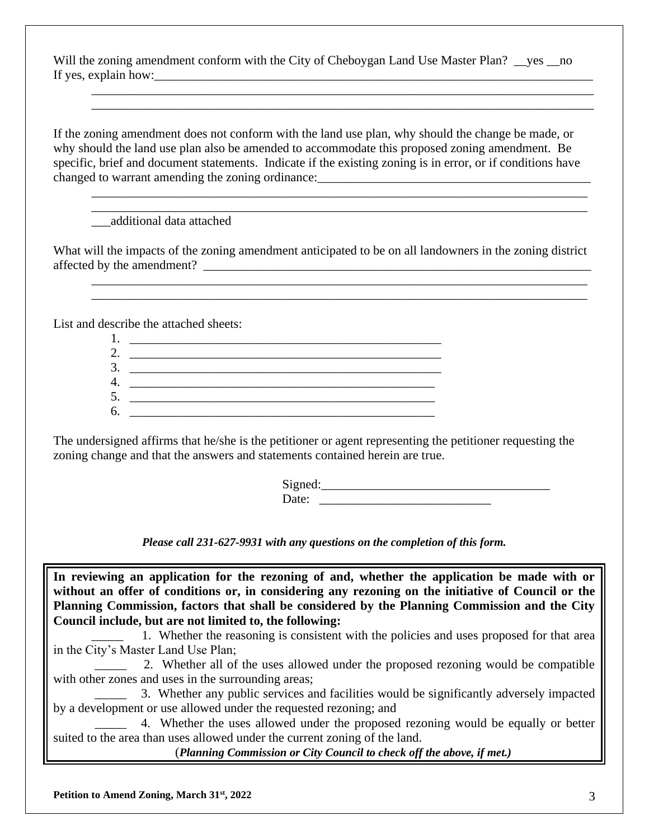Will the zoning amendment conform with the City of Cheboygan Land Use Master Plan? ves no If yes, explain how:\_\_\_\_\_\_\_\_\_\_\_\_\_\_\_\_\_\_\_\_\_\_\_\_\_\_\_\_\_\_\_\_\_\_\_\_\_\_\_\_\_\_\_\_\_\_\_\_\_\_\_\_\_\_\_\_\_\_\_\_\_\_\_\_\_\_\_\_\_

\_\_\_\_\_\_\_\_\_\_\_\_\_\_\_\_\_\_\_\_\_\_\_\_\_\_\_\_\_\_\_\_\_\_\_\_\_\_\_\_\_\_\_\_\_\_\_\_\_\_\_\_\_\_\_\_\_\_\_\_\_\_\_\_\_\_\_\_\_\_\_\_\_\_\_\_\_\_\_ \_\_\_\_\_\_\_\_\_\_\_\_\_\_\_\_\_\_\_\_\_\_\_\_\_\_\_\_\_\_\_\_\_\_\_\_\_\_\_\_\_\_\_\_\_\_\_\_\_\_\_\_\_\_\_\_\_\_\_\_\_\_\_\_\_\_\_\_\_\_\_\_\_\_\_\_\_\_\_

\_\_\_\_\_\_\_\_\_\_\_\_\_\_\_\_\_\_\_\_\_\_\_\_\_\_\_\_\_\_\_\_\_\_\_\_\_\_\_\_\_\_\_\_\_\_\_\_\_\_\_\_\_\_\_\_\_\_\_\_\_\_\_\_\_\_\_\_\_\_\_\_\_\_\_\_\_\_ \_\_\_\_\_\_\_\_\_\_\_\_\_\_\_\_\_\_\_\_\_\_\_\_\_\_\_\_\_\_\_\_\_\_\_\_\_\_\_\_\_\_\_\_\_\_\_\_\_\_\_\_\_\_\_\_\_\_\_\_\_\_\_\_\_\_\_\_\_\_\_\_\_\_\_\_\_\_

\_\_\_\_\_\_\_\_\_\_\_\_\_\_\_\_\_\_\_\_\_\_\_\_\_\_\_\_\_\_\_\_\_\_\_\_\_\_\_\_\_\_\_\_\_\_\_\_\_\_\_\_\_\_\_\_\_\_\_\_\_\_\_\_\_\_\_\_\_\_\_\_\_\_\_\_\_\_ \_\_\_\_\_\_\_\_\_\_\_\_\_\_\_\_\_\_\_\_\_\_\_\_\_\_\_\_\_\_\_\_\_\_\_\_\_\_\_\_\_\_\_\_\_\_\_\_\_\_\_\_\_\_\_\_\_\_\_\_\_\_\_\_\_\_\_\_\_\_\_\_\_\_\_\_\_\_

If the zoning amendment does not conform with the land use plan, why should the change be made, or why should the land use plan also be amended to accommodate this proposed zoning amendment. Be specific, brief and document statements. Indicate if the existing zoning is in error, or if conditions have changed to warrant amending the zoning ordinance:

\_\_\_additional data attached

What will the impacts of the zoning amendment anticipated to be on all landowners in the zoning district affected by the amendment? \_\_\_\_\_\_\_\_\_\_\_\_\_\_\_\_\_\_\_\_\_\_\_\_\_\_\_\_\_\_\_\_\_\_\_\_\_\_\_\_\_\_\_\_\_\_\_\_\_\_\_\_\_\_\_\_\_\_\_\_\_

List and describe the attached sheets:

| 3. |  |
|----|--|
|    |  |
|    |  |
| 6. |  |

The undersigned affirms that he/she is the petitioner or agent representing the petitioner requesting the zoning change and that the answers and statements contained herein are true.

> $Signal:$ Date:

*Please call 231-627-9931 with any questions on the completion of this form.*

**In reviewing an application for the rezoning of and, whether the application be made with or without an offer of conditions or, in considering any rezoning on the initiative of Council or the Planning Commission, factors that shall be considered by the Planning Commission and the City Council include, but are not limited to, the following:** 

\_\_\_\_\_ 1. Whether the reasoning is consistent with the policies and uses proposed for that area in the City's Master Land Use Plan;

2. Whether all of the uses allowed under the proposed rezoning would be compatible with other zones and uses in the surrounding areas;

\_\_\_\_\_ 3. Whether any public services and facilities would be significantly adversely impacted by a development or use allowed under the requested rezoning; and

4. Whether the uses allowed under the proposed rezoning would be equally or better suited to the area than uses allowed under the current zoning of the land.

(*Planning Commission or City Council to check off the above, if met.)*

**Petition to Amend Zoning, March 31st, 2022** 3